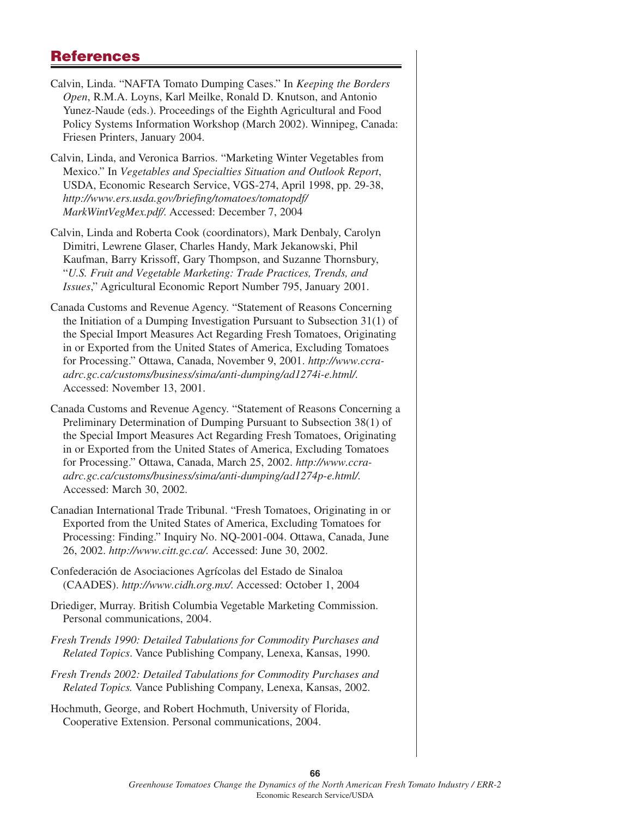## **References**

- Calvin, Linda. "NAFTA Tomato Dumping Cases." In *Keeping the Borders Open*, R.M.A. Loyns, Karl Meilke, Ronald D. Knutson, and Antonio Yunez-Naude (eds.). Proceedings of the Eighth Agricultural and Food Policy Systems Information Workshop (March 2002). Winnipeg, Canada: Friesen Printers, January 2004.
- Calvin, Linda, and Veronica Barrios. "Marketing Winter Vegetables from Mexico." In *Vegetables and Specialties Situation and Outlook Report*, USDA, Economic Research Service, VGS-274, April 1998, pp. 29-38, *http://www.ers.usda.gov/briefing/tomatoes/tomatopdf/ MarkWintVegMex.pdf/.* Accessed: December 7, 2004
- Calvin, Linda and Roberta Cook (coordinators), Mark Denbaly, Carolyn Dimitri, Lewrene Glaser, Charles Handy, Mark Jekanowski, Phil Kaufman, Barry Krissoff, Gary Thompson, and Suzanne Thornsbury, "*U.S. Fruit and Vegetable Marketing: Trade Practices, Trends, and Issues*," Agricultural Economic Report Number 795, January 2001.
- Canada Customs and Revenue Agency. "Statement of Reasons Concerning the Initiation of a Dumping Investigation Pursuant to Subsection 31(1) of the Special Import Measures Act Regarding Fresh Tomatoes, Originating in or Exported from the United States of America, Excluding Tomatoes for Processing." Ottawa, Canada, November 9, 2001. *http://www.ccraadrc.gc.ca/customs/business/sima/anti-dumping/ad1274i-e.html/.* Accessed: November 13, 2001.
- Canada Customs and Revenue Agency. "Statement of Reasons Concerning a Preliminary Determination of Dumping Pursuant to Subsection 38(1) of the Special Import Measures Act Regarding Fresh Tomatoes, Originating in or Exported from the United States of America, Excluding Tomatoes for Processing." Ottawa, Canada, March 25, 2002. *http://www.ccraadrc.gc.ca/customs/business/sima/anti-dumping/ad1274p-e.html/.* Accessed: March 30, 2002.
- Canadian International Trade Tribunal. "Fresh Tomatoes, Originating in or Exported from the United States of America, Excluding Tomatoes for Processing: Finding." Inquiry No. NQ-2001-004. Ottawa, Canada, June 26, 2002. *http://www.citt.gc.ca/.* Accessed: June 30, 2002.
- Confederación de Asociaciones Agrícolas del Estado de Sinaloa (CAADES). *http://www.cidh.org.mx/.* Accessed: October 1, 2004
- Driediger, Murray. British Columbia Vegetable Marketing Commission. Personal communications, 2004.
- *Fresh Trends 1990: Detailed Tabulations for Commodity Purchases and Related Topics*. Vance Publishing Company, Lenexa, Kansas, 1990.
- *Fresh Trends 2002: Detailed Tabulations for Commodity Purchases and Related Topics.* Vance Publishing Company, Lenexa, Kansas, 2002.
- Hochmuth, George, and Robert Hochmuth, University of Florida, Cooperative Extension. Personal communications, 2004.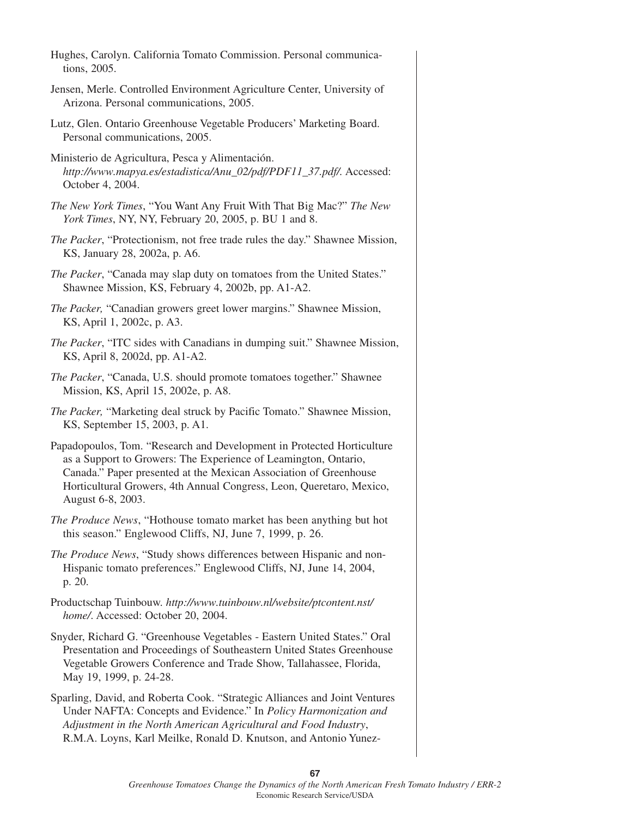| Hughes, Carolyn. California Tomato Commission. Personal communica-<br>tions, 2005.                                                                                                                                                                                                                          |
|-------------------------------------------------------------------------------------------------------------------------------------------------------------------------------------------------------------------------------------------------------------------------------------------------------------|
| Jensen, Merle. Controlled Environment Agriculture Center, University of<br>Arizona. Personal communications, 2005.                                                                                                                                                                                          |
| Lutz, Glen. Ontario Greenhouse Vegetable Producers' Marketing Board.<br>Personal communications, 2005.                                                                                                                                                                                                      |
| Ministerio de Agricultura, Pesca y Alimentación.<br>http://www.mapya.es/estadistica/Anu_02/pdf/PDF11_37.pdf/. Accessed:<br>October 4, 2004.                                                                                                                                                                 |
| The New York Times, "You Want Any Fruit With That Big Mac?" The New<br>York Times, NY, NY, February 20, 2005, p. BU 1 and 8.                                                                                                                                                                                |
| The Packer, "Protectionism, not free trade rules the day." Shawnee Mission,<br>KS, January 28, 2002a, p. A6.                                                                                                                                                                                                |
| The Packer, "Canada may slap duty on tomatoes from the United States."<br>Shawnee Mission, KS, February 4, 2002b, pp. A1-A2.                                                                                                                                                                                |
| The Packer, "Canadian growers greet lower margins." Shawnee Mission,<br>KS, April 1, 2002c, p. A3.                                                                                                                                                                                                          |
| The Packer, "ITC sides with Canadians in dumping suit." Shawnee Mission,<br>KS, April 8, 2002d, pp. A1-A2.                                                                                                                                                                                                  |
| <i>The Packer</i> , "Canada, U.S. should promote tomatoes together." Shawnee<br>Mission, KS, April 15, 2002e, p. A8.                                                                                                                                                                                        |
| The Packer, "Marketing deal struck by Pacific Tomato." Shawnee Mission,<br>KS, September 15, 2003, p. A1.                                                                                                                                                                                                   |
| Papadopoulos, Tom. "Research and Development in Protected Horticulture<br>as a Support to Growers: The Experience of Leamington, Ontario,<br>Canada." Paper presented at the Mexican Association of Greenhouse<br>Horticultural Growers, 4th Annual Congress, Leon, Queretaro, Mexico,<br>August 6-8, 2003. |
| <i>The Produce News</i> , "Hothouse tomato market has been anything but hot<br>this season." Englewood Cliffs, NJ, June 7, 1999, p. 26.                                                                                                                                                                     |
| The Produce News, "Study shows differences between Hispanic and non-<br>Hispanic tomato preferences." Englewood Cliffs, NJ, June 14, 2004,<br>p. 20.                                                                                                                                                        |
| Productschap Tuinbouw. http://www.tuinbouw.nl/website/ptcontent.nst/<br>home/. Accessed: October 20, 2004.                                                                                                                                                                                                  |
| Snyder, Richard G. "Greenhouse Vegetables - Eastern United States." Oral<br>Presentation and Proceedings of Southeastern United States Greenhouse<br>Vegetable Growers Conference and Trade Show, Tallahassee, Florida,<br>May 19, 1999, p. 24-28.                                                          |
| Sparling, David, and Roberta Cook. "Strategic Alliances and Joint Ventures<br>Under NAFTA: Concepts and Evidence." In Policy Harmonization and<br>Adjustment in the North American Agricultural and Food Industry,<br>R.M.A. Loyns, Karl Meilke, Ronald D. Knutson, and Antonio Yunez-                      |